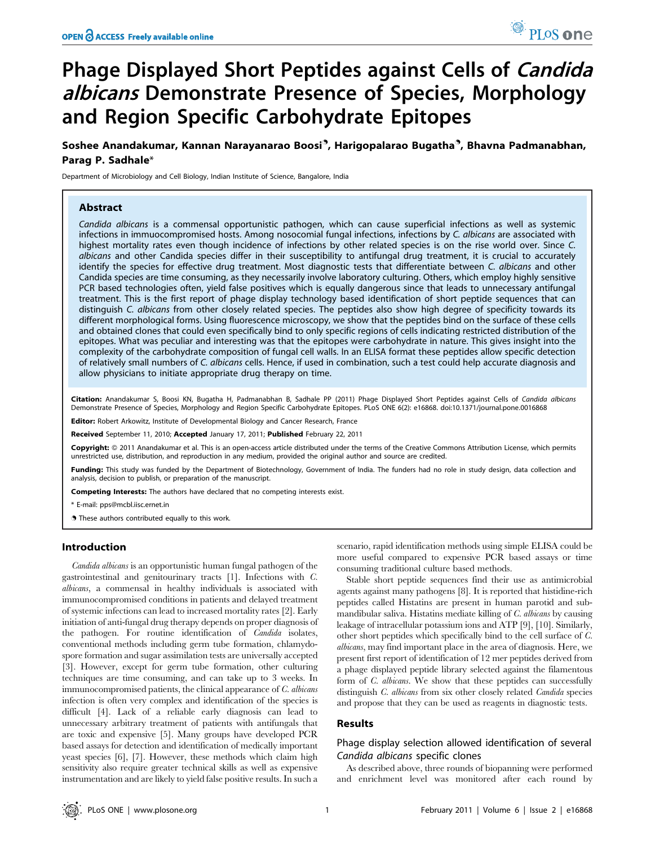# Phage Displayed Short Peptides against Cells of Candida albicans Demonstrate Presence of Species, Morphology and Region Specific Carbohydrate Epitopes

Soshee Anandakumar, Kannan Narayanarao Boosi<sup>3</sup>, Harigopalarao Bugatha<sup>9</sup>, Bhavna Padmanabhan, Parag P. Sadhale\*

Department of Microbiology and Cell Biology, Indian Institute of Science, Bangalore, India

## Abstract

Candida albicans is a commensal opportunistic pathogen, which can cause superficial infections as well as systemic infections in immuocompromised hosts. Among nosocomial fungal infections, infections by C. albicans are associated with highest mortality rates even though incidence of infections by other related species is on the rise world over. Since C. albicans and other Candida species differ in their susceptibility to antifungal drug treatment, it is crucial to accurately identify the species for effective drug treatment. Most diagnostic tests that differentiate between C. albicans and other Candida species are time consuming, as they necessarily involve laboratory culturing. Others, which employ highly sensitive PCR based technologies often, yield false positives which is equally dangerous since that leads to unnecessary antifungal treatment. This is the first report of phage display technology based identification of short peptide sequences that can distinguish C. albicans from other closely related species. The peptides also show high degree of specificity towards its different morphological forms. Using fluorescence microscopy, we show that the peptides bind on the surface of these cells and obtained clones that could even specifically bind to only specific regions of cells indicating restricted distribution of the epitopes. What was peculiar and interesting was that the epitopes were carbohydrate in nature. This gives insight into the complexity of the carbohydrate composition of fungal cell walls. In an ELISA format these peptides allow specific detection of relatively small numbers of C. albicans cells. Hence, if used in combination, such a test could help accurate diagnosis and allow physicians to initiate appropriate drug therapy on time.

Citation: Anandakumar S, Boosi KN, Bugatha H, Padmanabhan B, Sadhale PP (2011) Phage Displayed Short Peptides against Cells of Candida albicans Demonstrate Presence of Species, Morphology and Region Specific Carbohydrate Epitopes. PLoS ONE 6(2): e16868. doi:10.1371/journal.pone.0016868

Editor: Robert Arkowitz, Institute of Developmental Biology and Cancer Research, France

Received September 11, 2010; Accepted January 17, 2011; Published February 22, 2011

Copyright: © 2011 Anandakumar et al. This is an open-access article distributed under the terms of the Creative Commons Attribution License, which permits unrestricted use, distribution, and reproduction in any medium, provided the original author and source are credited.

Funding: This study was funded by the Department of Biotechnology, Government of India. The funders had no role in study design, data collection and analysis, decision to publish, or preparation of the manuscript.

Competing Interests: The authors have declared that no competing interests exist.

\* E-mail: pps@mcbl.iisc.ernet.in

**.** These authors contributed equally to this work.

#### Introduction

Candida albicans is an opportunistic human fungal pathogen of the gastrointestinal and genitourinary tracts [1]. Infections with C. albicans, a commensal in healthy individuals is associated with immunocompromised conditions in patients and delayed treatment of systemic infections can lead to increased mortality rates [2]. Early initiation of anti-fungal drug therapy depends on proper diagnosis of the pathogen. For routine identification of Candida isolates, conventional methods including germ tube formation, chlamydospore formation and sugar assimilation tests are universally accepted [3]. However, except for germ tube formation, other culturing techniques are time consuming, and can take up to 3 weeks. In immunocompromised patients, the clinical appearance of C. albicans infection is often very complex and identification of the species is difficult [4]. Lack of a reliable early diagnosis can lead to unnecessary arbitrary treatment of patients with antifungals that are toxic and expensive [5]. Many groups have developed PCR based assays for detection and identification of medically important yeast species [6], [7]. However, these methods which claim high sensitivity also require greater technical skills as well as expensive instrumentation and are likely to yield false positive results. In such a

scenario, rapid identification methods using simple ELISA could be more useful compared to expensive PCR based assays or time consuming traditional culture based methods.

Stable short peptide sequences find their use as antimicrobial agents against many pathogens [8]. It is reported that histidine-rich peptides called Histatins are present in human parotid and submandibular saliva. Histatins mediate killing of C. albicans by causing leakage of intracellular potassium ions and ATP [9], [10]. Similarly, other short peptides which specifically bind to the cell surface of C. albicans, may find important place in the area of diagnosis. Here, we present first report of identification of 12 mer peptides derived from a phage displayed peptide library selected against the filamentous form of *C. albicans*. We show that these peptides can successfully distinguish *C. albicans* from six other closely related *Candida* species and propose that they can be used as reagents in diagnostic tests.

#### Results

## Phage display selection allowed identification of several Candida albicans specific clones

As described above, three rounds of biopanning were performed and enrichment level was monitored after each round by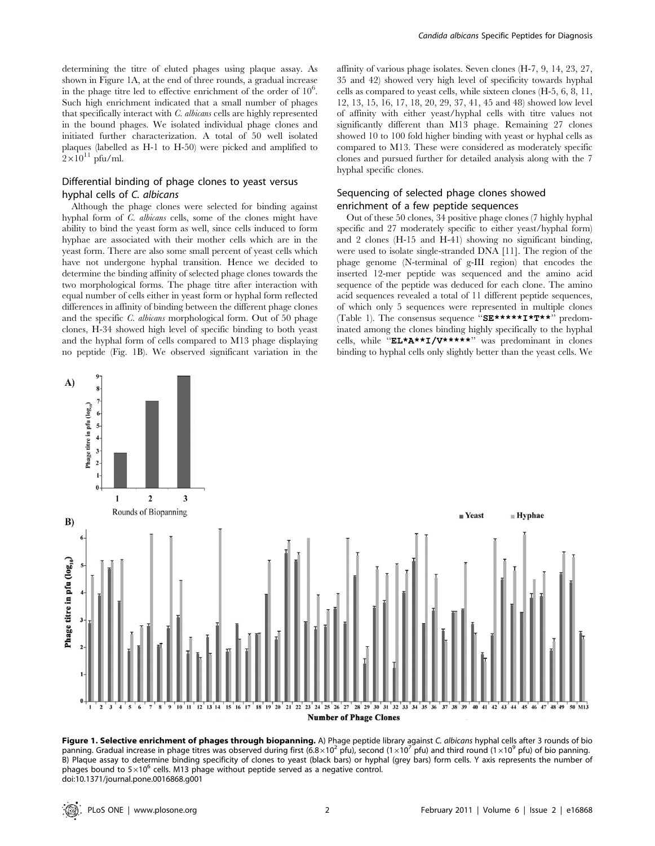determining the titre of eluted phages using plaque assay. As shown in Figure 1A, at the end of three rounds, a gradual increase in the phage titre led to effective enrichment of the order of  $10^6$ . Such high enrichment indicated that a small number of phages that specifically interact with C. albicans cells are highly represented in the bound phages. We isolated individual phage clones and initiated further characterization. A total of 50 well isolated plaques (labelled as H-1 to H-50) were picked and amplified to  $2\times10^{11}$  pfu/ml.

# Differential binding of phage clones to yeast versus hyphal cells of C. albicans

Although the phage clones were selected for binding against hyphal form of C. albicans cells, some of the clones might have ability to bind the yeast form as well, since cells induced to form hyphae are associated with their mother cells which are in the yeast form. There are also some small percent of yeast cells which have not undergone hyphal transition. Hence we decided to determine the binding affinity of selected phage clones towards the two morphological forms. The phage titre after interaction with equal number of cells either in yeast form or hyphal form reflected differences in affinity of binding between the different phage clones and the specific C. albicans morphological form. Out of 50 phage clones, H-34 showed high level of specific binding to both yeast and the hyphal form of cells compared to M13 phage displaying no peptide (Fig. 1B). We observed significant variation in the affinity of various phage isolates. Seven clones (H-7, 9, 14, 23, 27, 35 and 42) showed very high level of specificity towards hyphal cells as compared to yeast cells, while sixteen clones (H-5, 6, 8, 11, 12, 13, 15, 16, 17, 18, 20, 29, 37, 41, 45 and 48) showed low level of affinity with either yeast/hyphal cells with titre values not significantly different than M13 phage. Remaining 27 clones showed 10 to 100 fold higher binding with yeast or hyphal cells as compared to M13. These were considered as moderately specific clones and pursued further for detailed analysis along with the 7 hyphal specific clones.

# Sequencing of selected phage clones showed enrichment of a few peptide sequences

Out of these 50 clones, 34 positive phage clones (7 highly hyphal specific and 27 moderately specific to either yeast/hyphal form) and 2 clones (H-15 and H-41) showing no significant binding, were used to isolate single-stranded DNA [11]. The region of the phage genome (N-terminal of g-III region) that encodes the inserted 12-mer peptide was sequenced and the amino acid sequence of the peptide was deduced for each clone. The amino acid sequences revealed a total of 11 different peptide sequences, of which only 5 sequences were represented in multiple clones (Table 1). The consensus sequence ''SE\*\*\*\*\*I\*T\*\*'' predominated among the clones binding highly specifically to the hyphal cells, while ''EL\*A\*\*I/V\*\*\*\*\*'' was predominant in clones binding to hyphal cells only slightly better than the yeast cells. We



Figure 1. Selective enrichment of phages through biopanning. A) Phage peptide library against C. albicans hyphal cells after 3 rounds of bio panning. Gradual increase in phage titres was observed during first (6.8×10<sup>2</sup> pfu), second (1×10<sup>7</sup> pfu) and third round (1×10<sup>9</sup> pfu) of bio panning. B) Plaque assay to determine binding specificity of clones to yeast (black bars) or hyphal (grey bars) form cells. Y axis represents the number of phages bound to  $5\times10^6$  cells. M13 phage without peptide served as a negative control. doi:10.1371/journal.pone.0016868.g001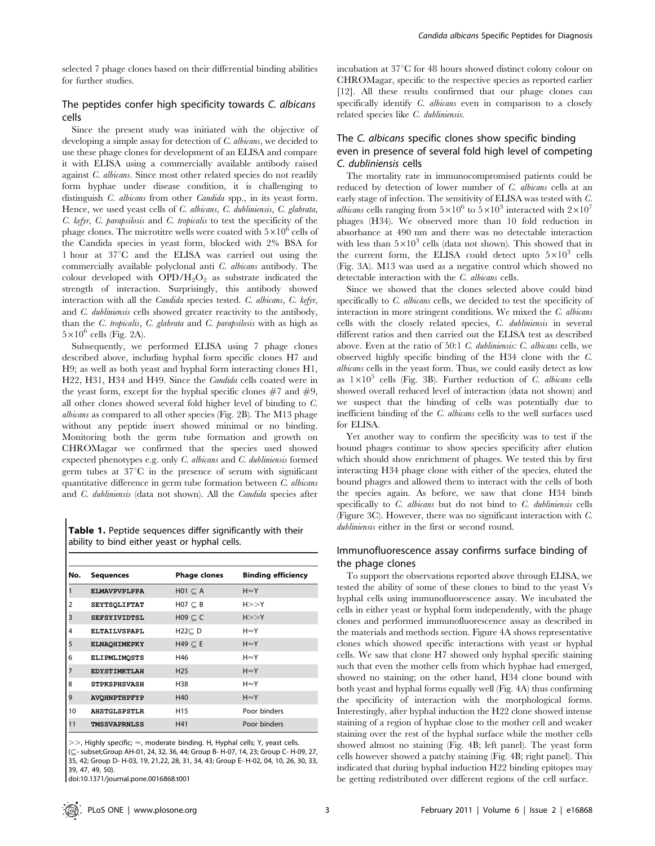selected 7 phage clones based on their differential binding abilities for further studies.

# The peptides confer high specificity towards C. albicans cells

Since the present study was initiated with the objective of developing a simple assay for detection of C. albicans, we decided to use these phage clones for development of an ELISA and compare it with ELISA using a commercially available antibody raised against C. albicans. Since most other related species do not readily form hyphae under disease condition, it is challenging to distinguish C. albicans from other Candida spp., in its yeast form. Hence, we used yeast cells of C. albicans, C. dubliniensis, C. glabrata, C. kefyr, C. parapsilosis and C. tropicalis to test the specificity of the phage clones. The microtitre wells were coated with  $5\times10^6$  cells of the Candida species in yeast form, blocked with 2% BSA for 1 hour at 37°C and the ELISA was carried out using the commercially available polyclonal anti C. albicans antibody. The colour developed with  $OPD/H<sub>2</sub>O<sub>2</sub>$  as substrate indicated the strength of interaction. Surprisingly, this antibody showed interaction with all the Candida species tested. C. albicans, C. kefyr, and C. dubliniensis cells showed greater reactivity to the antibody, than the  $C$ . tropicalis,  $C$ . glabrata and  $C$ . parapsilosis with as high as  $5\times10^6$  cells (Fig. 2A).

Subsequently, we performed ELISA using 7 phage clones described above, including hyphal form specific clones H7 and H9; as well as both yeast and hyphal form interacting clones H1, H22, H31, H34 and H49. Since the Candida cells coated were in the yeast form, except for the hyphal specific clones  $#7$  and  $#9$ , all other clones showed several fold higher level of binding to C. albicans as compared to all other species (Fig. 2B). The M13 phage without any peptide insert showed minimal or no binding. Monitoring both the germ tube formation and growth on CHROMagar we confirmed that the species used showed expected phenotypes e.g. only C. albicans and C. dubliniensis formed germ tubes at  $37^{\circ}$ C in the presence of serum with significant quantitative difference in germ tube formation between C. albicans and C. dubliniensis (data not shown). All the Candida species after

Table 1. Peptide sequences differ significantly with their ability to bind either yeast or hyphal cells.

| No.            | <b>Sequences</b>    | <b>Phage clones</b> | <b>Binding efficiency</b> |
|----------------|---------------------|---------------------|---------------------------|
|                | <b>ELMAVPVPLPPA</b> | $HO1 \subset A$     | $H \approx Y$             |
| $\overline{2}$ | <b>SEYTSQLIFTAT</b> | $HO7 \subset B$     | H>>Y                      |
| 3              | <b>SEFSYIVIDTSL</b> | $H09 \subset C$     | H>>Y                      |
| 4              | <b>ELTAILVSPAPL</b> | $H22C$ D            | $H \approx Y$             |
| 5              | <b>ELNAOHIMEPKY</b> | $H49 \subset E$     | $H \approx Y$             |
| 6              | <b>ELIPMLIMOSTS</b> | H46                 | $H \approx Y$             |
| 7              | <b>EDYSTIMKTLAH</b> | H <sub>25</sub>     | $H \approx Y$             |
| 8              | <b>STPKSPHSVASH</b> | H38                 | $H \approx Y$             |
| 9              | <b>AVOHNPTHPFYP</b> | H40                 | $H \approx Y$             |
| 10             | <b>AHSTGLSPSTLR</b> | H <sub>15</sub>     | Poor binders              |
| 11             | <b>TMSSVAPRNLSS</b> | H41                 | Poor binders              |

 $>>$ , Highly specific;  $\approx$ , moderate binding. H, Hyphal cells; Y, yeast cells. (#- subset;Group AH-01, 24, 32, 36, 44; Group B- H-07, 14, 23; Group C- H-09, 27, 35, 42; Group D- H-03, 19, 21,22, 28, 31, 34, 43; Group E- H-02, 04, 10, 26, 30, 33, 39, 47, 49, 50).

doi:10.1371/journal.pone.0016868.t001

incubation at 37°C for 48 hours showed distinct colony colour on CHROMagar, specific to the respective species as reported earlier [12]. All these results confirmed that our phage clones can specifically identify C. albicans even in comparison to a closely related species like C. dubliniensis.

# The C. albicans specific clones show specific binding even in presence of several fold high level of competing C. dubliniensis cells

The mortality rate in immunocompromised patients could be reduced by detection of lower number of C. albicans cells at an early stage of infection. The sensitivity of ELISA was tested with C. *albicans* cells ranging from  $5 \times 10^6$  to  $5 \times 10^3$  interacted with  $2 \times 10^7$ phages (H34). We observed more than 10 fold reduction in absorbance at 490 nm and there was no detectable interaction with less than  $5\times10^3$  cells (data not shown). This showed that in the current form, the ELISA could detect upto  $5\times10^3$  cells (Fig. 3A). M13 was used as a negative control which showed no detectable interaction with the C. albicans cells.

Since we showed that the clones selected above could bind specifically to C. albicans cells, we decided to test the specificity of interaction in more stringent conditions. We mixed the C. albicans cells with the closely related species, C. dubliniensis in several different ratios and then carried out the ELISA test as described above. Even at the ratio of 50:1 C. dubliniensis: C. albicans cells, we observed highly specific binding of the H34 clone with the C. albicans cells in the yeast form. Thus, we could easily detect as low as  $1\times10^5$  cells (Fig. 3B). Further reduction of C. albicans cells showed overall reduced level of interaction (data not shown) and we suspect that the binding of cells was potentially due to inefficient binding of the C. albicans cells to the well surfaces used for ELISA.

Yet another way to confirm the specificity was to test if the bound phages continue to show species specificity after elution which should show enrichment of phages. We tested this by first interacting H34 phage clone with either of the species, eluted the bound phages and allowed them to interact with the cells of both the species again. As before, we saw that clone H34 binds specifically to C. albicans but do not bind to C. dubliniensis cells (Figure 3C). However, there was no significant interaction with C. dubliniensis either in the first or second round.

## Immunofluorescence assay confirms surface binding of the phage clones

To support the observations reported above through ELISA, we tested the ability of some of these clones to bind to the yeast Vs hyphal cells using immunofluorescence assay. We incubated the cells in either yeast or hyphal form independently, with the phage clones and performed immunofluorescence assay as described in the materials and methods section. Figure 4A shows representative clones which showed specific interactions with yeast or hyphal cells. We saw that clone H7 showed only hyphal specific staining such that even the mother cells from which hyphae had emerged, showed no staining; on the other hand, H34 clone bound with both yeast and hyphal forms equally well (Fig. 4A) thus confirming the specificity of interaction with the morphological forms. Interestingly, after hyphal induction the H22 clone showed intense staining of a region of hyphae close to the mother cell and weaker staining over the rest of the hyphal surface while the mother cells showed almost no staining (Fig. 4B; left panel). The yeast form cells however showed a patchy staining (Fig. 4B; right panel). This indicated that during hyphal induction H22 binding epitopes may be getting redistributed over different regions of the cell surface.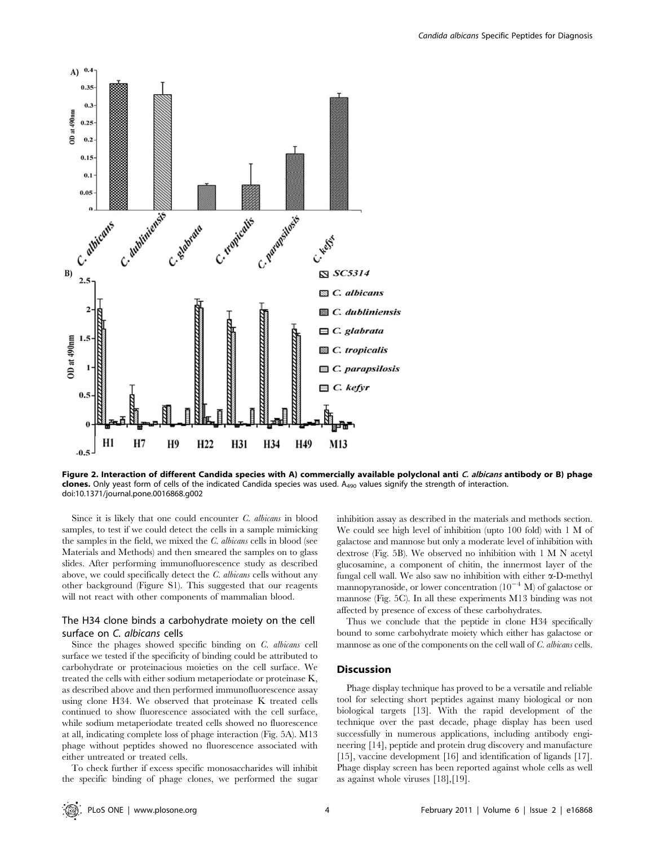



Figure 2. Interaction of different Candida species with A) commercially available polyclonal anti C. albicans antibody or B) phage clones. Only yeast form of cells of the indicated Candida species was used.  $A_{490}$  values signify the strength of interaction. doi:10.1371/journal.pone.0016868.g002

Since it is likely that one could encounter C. albicans in blood samples, to test if we could detect the cells in a sample mimicking the samples in the field, we mixed the C. albicans cells in blood (see Materials and Methods) and then smeared the samples on to glass slides. After performing immunofluorescence study as described above, we could specifically detect the C. albicans cells without any other background (Figure S1). This suggested that our reagents will not react with other components of mammalian blood.

## The H34 clone binds a carbohydrate moiety on the cell surface on C. albicans cells

Since the phages showed specific binding on C. albicans cell surface we tested if the specificity of binding could be attributed to carbohydrate or proteinacious moieties on the cell surface. We treated the cells with either sodium metaperiodate or proteinase K, as described above and then performed immunofluorescence assay using clone H34. We observed that proteinase K treated cells continued to show fluorescence associated with the cell surface, while sodium metaperiodate treated cells showed no fluorescence at all, indicating complete loss of phage interaction (Fig. 5A). M13 phage without peptides showed no fluorescence associated with either untreated or treated cells.

To check further if excess specific monosaccharides will inhibit the specific binding of phage clones, we performed the sugar

inhibition assay as described in the materials and methods section. We could see high level of inhibition (upto 100 fold) with 1 M of galactose and mannose but only a moderate level of inhibition with dextrose (Fig. 5B). We observed no inhibition with 1 M N acetyl glucosamine, a component of chitin, the innermost layer of the fungal cell wall. We also saw no inhibition with either  $\alpha$ -D-methyl mannopyranoside, or lower concentration  $(10^{-4} \text{ M})$  of galactose or mannose (Fig. 5C). In all these experiments M13 binding was not affected by presence of excess of these carbohydrates.

Thus we conclude that the peptide in clone H34 specifically bound to some carbohydrate moiety which either has galactose or mannose as one of the components on the cell wall of C. albicans cells.

## Discussion

Phage display technique has proved to be a versatile and reliable tool for selecting short peptides against many biological or non biological targets [13]. With the rapid development of the technique over the past decade, phage display has been used successfully in numerous applications, including antibody engineering [14], peptide and protein drug discovery and manufacture [15], vaccine development [16] and identification of ligands [17]. Phage display screen has been reported against whole cells as well as against whole viruses [18],[19].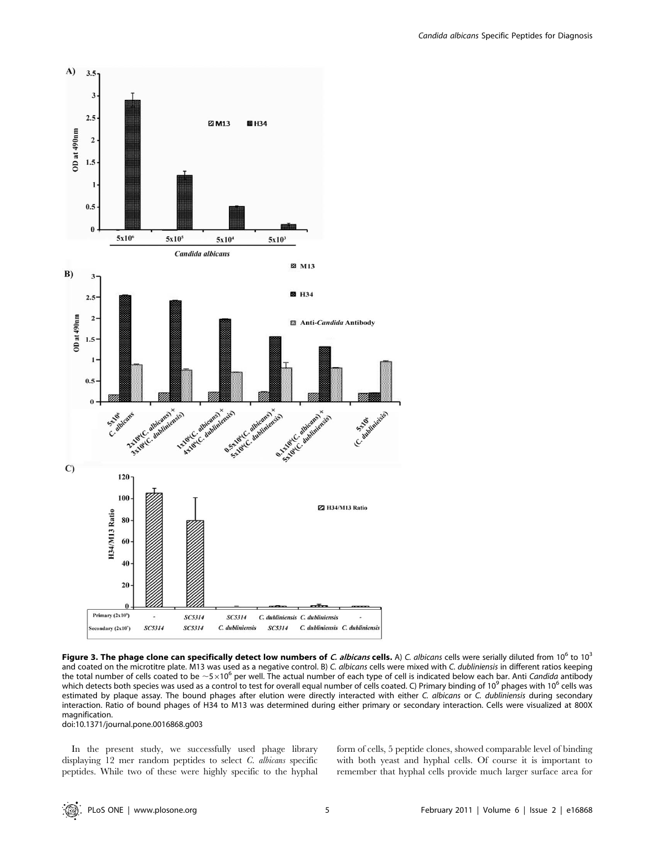

Figure 3. The phage clone can specifically detect low numbers of C. albicans cells. A) C. albicans cells were serially diluted from 10<sup>6</sup> to 10<sup>3</sup> and coated on the microtitre plate. M13 was used as a negative control. B) C. albicans cells were mixed with C. dubliniensis in different ratios keeping the total number of cells coated to be  $\sim$ 5 $\times$ 10<sup>6</sup> per well. The actual number of each type of cell is indicated below each bar. Anti Candida antibody which detects both species was used as a control to test for overall equal number of cells coated. C) Primary binding of 10<sup>9</sup> phages with 10<sup>6</sup> cells was estimated by plaque assay. The bound phages after elution were directly interacted with either C. albicans or C. dubliniensis during secondary interaction. Ratio of bound phages of H34 to M13 was determined during either primary or secondary interaction. Cells were visualized at 800X magnification.

doi:10.1371/journal.pone.0016868.g003

In the present study, we successfully used phage library displaying 12 mer random peptides to select C. albicans specific peptides. While two of these were highly specific to the hyphal form of cells, 5 peptide clones, showed comparable level of binding with both yeast and hyphal cells. Of course it is important to remember that hyphal cells provide much larger surface area for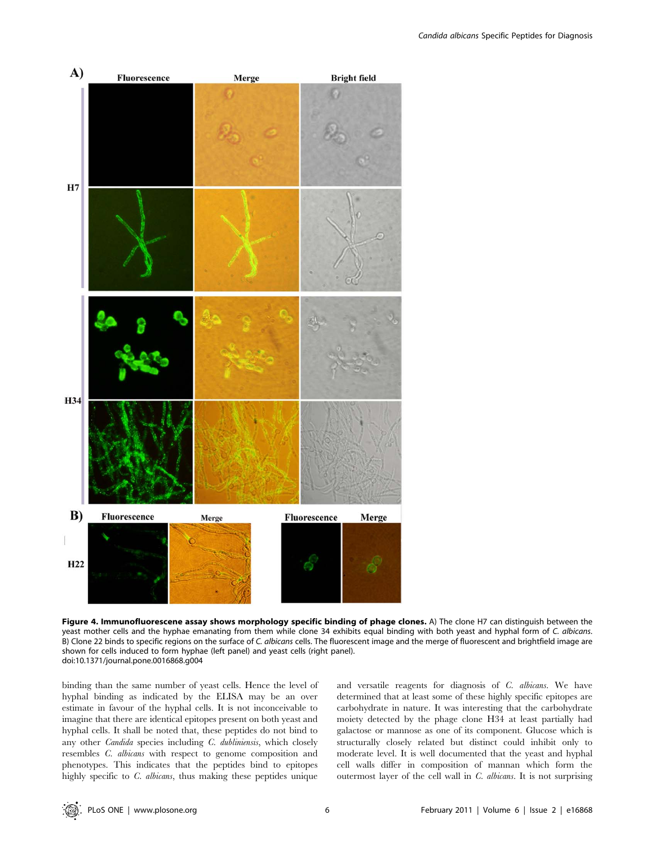

Figure 4. Immunofluorescene assay shows morphology specific binding of phage clones. A) The clone H7 can distinguish between the yeast mother cells and the hyphae emanating from them while clone 34 exhibits equal binding with both yeast and hyphal form of C. albicans. B) Clone 22 binds to specific regions on the surface of C. albicans cells. The fluorescent image and the merge of fluorescent and brightfield image are shown for cells induced to form hyphae (left panel) and yeast cells (right panel). doi:10.1371/journal.pone.0016868.g004

binding than the same number of yeast cells. Hence the level of hyphal binding as indicated by the ELISA may be an over estimate in favour of the hyphal cells. It is not inconceivable to imagine that there are identical epitopes present on both yeast and hyphal cells. It shall be noted that, these peptides do not bind to any other Candida species including C. dubliniensis, which closely resembles C. albicans with respect to genome composition and phenotypes. This indicates that the peptides bind to epitopes highly specific to C. albicans, thus making these peptides unique

and versatile reagents for diagnosis of C. albicans. We have determined that at least some of these highly specific epitopes are carbohydrate in nature. It was interesting that the carbohydrate moiety detected by the phage clone H34 at least partially had galactose or mannose as one of its component. Glucose which is structurally closely related but distinct could inhibit only to moderate level. It is well documented that the yeast and hyphal cell walls differ in composition of mannan which form the outermost layer of the cell wall in C. albicans. It is not surprising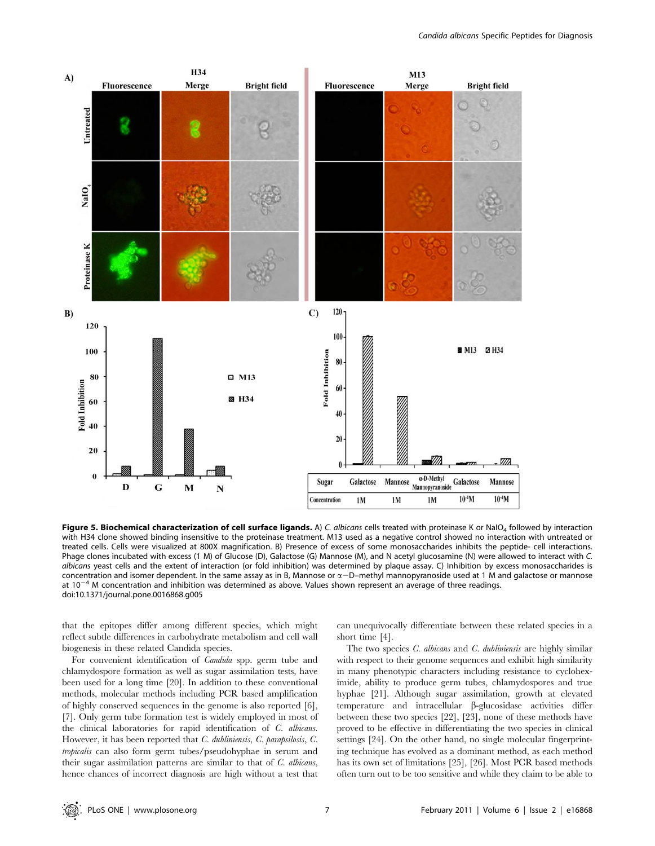

Figure 5. Biochemical characterization of cell surface ligands. A) C. albicans cells treated with proteinase K or NaIO<sub>4</sub> followed by interaction with H34 clone showed binding insensitive to the proteinase treatment. M13 used as a negative control showed no interaction with untreated or treated cells. Cells were visualized at 800X magnification. B) Presence of excess of some monosaccharides inhibits the peptide- cell interactions. Phage clones incubated with excess (1 M) of Glucose (D), Galactose (G) Mannose (M), and N acetyl glucosamine (N) were allowed to interact with C. albicans yeast cells and the extent of interaction (or fold inhibition) was determined by plaque assay. C) Inhibition by excess monosaccharides is concentration and isomer dependent. In the same assay as in B, Mannose or  $\alpha$ -D-methyl mannopyranoside used at 1 M and galactose or mannose at  $10^{-4}$  M concentration and inhibition was determined as above. Values shown represent an average of three readings. doi:10.1371/journal.pone.0016868.g005

that the epitopes differ among different species, which might reflect subtle differences in carbohydrate metabolism and cell wall biogenesis in these related Candida species.

For convenient identification of Candida spp. germ tube and chlamydospore formation as well as sugar assimilation tests, have been used for a long time [20]. In addition to these conventional methods, molecular methods including PCR based amplification of highly conserved sequences in the genome is also reported [6], [7]. Only germ tube formation test is widely employed in most of the clinical laboratories for rapid identification of C. albicans. However, it has been reported that C. dubliniensis, C. parapsilosis, C. tropicalis can also form germ tubes/pseudohyphae in serum and their sugar assimilation patterns are similar to that of C. albicans, hence chances of incorrect diagnosis are high without a test that

can unequivocally differentiate between these related species in a short time [4].

The two species *C. albicans* and *C. dubliniensis* are highly similar with respect to their genome sequences and exhibit high similarity in many phenotypic characters including resistance to cycloheximide, ability to produce germ tubes, chlamydospores and true hyphae [21]. Although sugar assimilation, growth at elevated temperature and intracellular  $\beta$ -glucosidase activities differ between these two species [22], [23], none of these methods have proved to be effective in differentiating the two species in clinical settings [24]. On the other hand, no single molecular fingerprinting technique has evolved as a dominant method, as each method has its own set of limitations [25], [26]. Most PCR based methods often turn out to be too sensitive and while they claim to be able to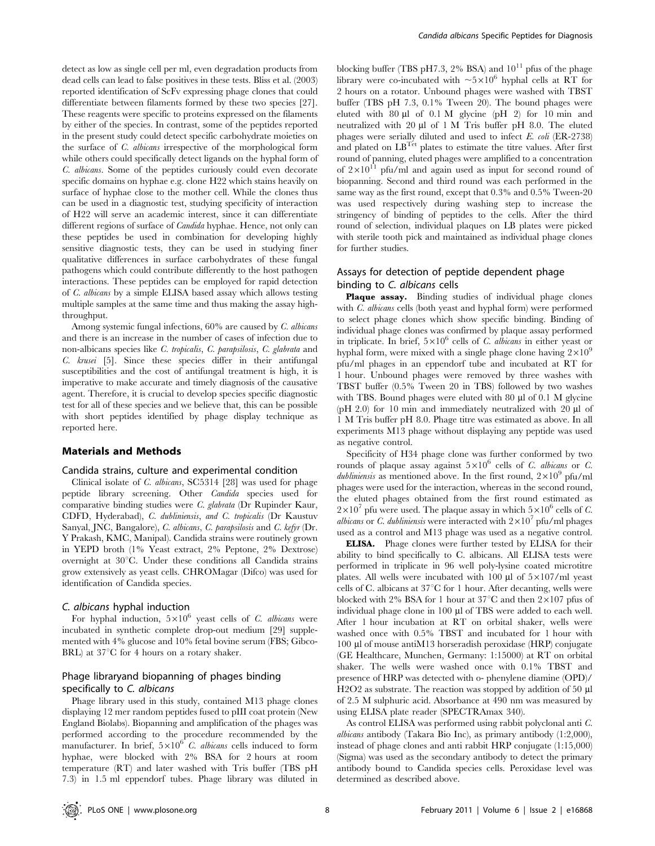detect as low as single cell per ml, even degradation products from dead cells can lead to false positives in these tests. Bliss et al. (2003) reported identification of ScFv expressing phage clones that could differentiate between filaments formed by these two species [27]. These reagents were specific to proteins expressed on the filaments by either of the species. In contrast, some of the peptides reported in the present study could detect specific carbohydrate moieties on the surface of C. albicans irrespective of the morphological form while others could specifically detect ligands on the hyphal form of C. albicans. Some of the peptides curiously could even decorate specific domains on hyphae e.g. clone H22 which stains heavily on surface of hyphae close to the mother cell. While the clones thus can be used in a diagnostic test, studying specificity of interaction of H22 will serve an academic interest, since it can differentiate different regions of surface of *Candida* hyphae. Hence, not only can these peptides be used in combination for developing highly sensitive diagnostic tests, they can be used in studying finer qualitative differences in surface carbohydrates of these fungal pathogens which could contribute differently to the host pathogen interactions. These peptides can be employed for rapid detection of C. albicans by a simple ELISA based assay which allows testing multiple samples at the same time and thus making the assay highthroughput.

Among systemic fungal infections, 60% are caused by C. albicans and there is an increase in the number of cases of infection due to non-albicans species like C. tropicalis, C. parapsilosis, C. glabrata and C. krusei [5]. Since these species differ in their antifungal susceptibilities and the cost of antifungal treatment is high, it is imperative to make accurate and timely diagnosis of the causative agent. Therefore, it is crucial to develop species specific diagnostic test for all of these species and we believe that, this can be possible with short peptides identified by phage display technique as reported here.

#### Materials and Methods

#### Candida strains, culture and experimental condition

Clinical isolate of C. albicans, SC5314 [28] was used for phage peptide library screening. Other Candida species used for comparative binding studies were C. glabrata (Dr Rupinder Kaur, CDFD, Hyderabad), C. dubliniensis, and C. tropicalis (Dr Kaustuv Sanyal, JNC, Bangalore), C. albicans, C. parapsilosis and C. kefyr (Dr. Y Prakash, KMC, Manipal). Candida strains were routinely grown in YEPD broth (1% Yeast extract, 2% Peptone, 2% Dextrose) overnight at 30°C. Under these conditions all Candida strains grow extensively as yeast cells. CHROMagar (Difco) was used for identification of Candida species.

#### C. albicans hyphal induction

For hyphal induction,  $5 \times 10^6$  yeast cells of *C. albicans* were incubated in synthetic complete drop-out medium [29] supplemented with 4% glucose and 10% fetal bovine serum (FBS; Gibco-BRL) at  $37^{\circ}$ C for 4 hours on a rotary shaker.

# Phage libraryand biopanning of phages binding specifically to C. albicans

Phage library used in this study, contained M13 phage clones displaying 12 mer random peptides fused to pIII coat protein (New England Biolabs). Biopanning and amplification of the phages was performed according to the procedure recommended by the manufacturer. In brief,  $5 \times 10^6$  C. albicans cells induced to form hyphae, were blocked with 2% BSA for 2 hours at room temperature (RT) and later washed with Tris buffer (TBS pH 7.3) in 1.5 ml eppendorf tubes. Phage library was diluted in blocking buffer (TBS pH7.3, 2% BSA) and  $10^{11}$  pfus of the phage library were co-incubated with  $\sim 5 \times 10^6$  hyphal cells at RT for 2 hours on a rotator. Unbound phages were washed with TBST buffer (TBS pH 7.3, 0.1% Tween 20). The bound phages were eluted with  $80 \mu l$  of  $0.1 \text{ M}$  glycine (pH 2) for  $10 \text{ min}$  and neutralized with  $20 \mu l$  of 1 M Tris buffer pH 8.0. The eluted phages were serially diluted and used to infect E. coli (ER-2738) and plated on  $LB<sup>T<sub>et</sub></sup>$  plates to estimate the titre values. After first round of panning, eluted phages were amplified to a concentration of  $2\times10^{11}$  pfu/ml and again used as input for second round of biopanning. Second and third round was each performed in the same way as the first round, except that 0.3% and 0.5% Tween-20 was used respectively during washing step to increase the stringency of binding of peptides to the cells. After the third round of selection, individual plaques on LB plates were picked with sterile tooth pick and maintained as individual phage clones for further studies.

# Assays for detection of peptide dependent phage binding to C. albicans cells

Plaque assay. Binding studies of individual phage clones with C. albicans cells (both yeast and hyphal form) were performed to select phage clones which show specific binding. Binding of individual phage clones was confirmed by plaque assay performed in triplicate. In brief,  $5 \times 10^6$  cells of *C. albicans* in either yeast or hyphal form, were mixed with a single phage clone having  $2\times10^9$ pfu/ml phages in an eppendorf tube and incubated at RT for 1 hour. Unbound phages were removed by three washes with TBST buffer (0.5% Tween 20 in TBS) followed by two washes with TBS. Bound phages were eluted with 80  $\mu$ l of 0.1 M glycine (pH 2.0) for 10 min and immediately neutralized with 20  $\mu$ l of 1 M Tris buffer pH 8.0. Phage titre was estimated as above. In all experiments M13 phage without displaying any peptide was used as negative control.

Specificity of H34 phage clone was further conformed by two rounds of plaque assay against  $5 \times 10^6$  cells of *C. albicans* or *C.* dubliniensis as mentioned above. In the first round,  $2\times10^9$  pfu/ml phages were used for the interaction, whereas in the second round, the eluted phages obtained from the first round estimated as  $2\times10^{7}$  pfu were used. The plaque assay in which  $5\times10^{6}$  cells of C. *albicans* or *C. dubliniensis* were interacted with  $2 \times 10^{7}$  pfu/ml phages used as a control and M13 phage was used as a negative control.

ELISA. Phage clones were further tested by ELISA for their ability to bind specifically to C. albicans. All ELISA tests were performed in triplicate in 96 well poly-lysine coated microtitre plates. All wells were incubated with  $100 \mu l$  of  $5 \times 107$ /ml yeast cells of C. albicans at  $37^{\circ}$ C for 1 hour. After decanting, wells were blocked with 2% BSA for 1 hour at  $37^{\circ}$ C and then  $2\times107$  pfus of individual phage clone in 100 µl of TBS were added to each well. After 1 hour incubation at RT on orbital shaker, wells were washed once with 0.5% TBST and incubated for 1 hour with 100 ml of mouse antiM13 horseradish peroxidase (HRP) conjugate (GE Healthcare, Munchen, Germany: 1:15000) at RT on orbital shaker. The wells were washed once with 0.1% TBST and presence of HRP was detected with o- phenylene diamine (OPD)/ H<sub>2</sub>O<sub>2</sub> as substrate. The reaction was stopped by addition of 50 µl of 2.5 M sulphuric acid. Absorbance at 490 nm was measured by using ELISA plate reader (SPECTRAmax 340).

As control ELISA was performed using rabbit polyclonal anti C. albicans antibody (Takara Bio Inc), as primary antibody (1:2,000), instead of phage clones and anti rabbit HRP conjugate (1:15,000) (Sigma) was used as the secondary antibody to detect the primary antibody bound to Candida species cells. Peroxidase level was determined as described above.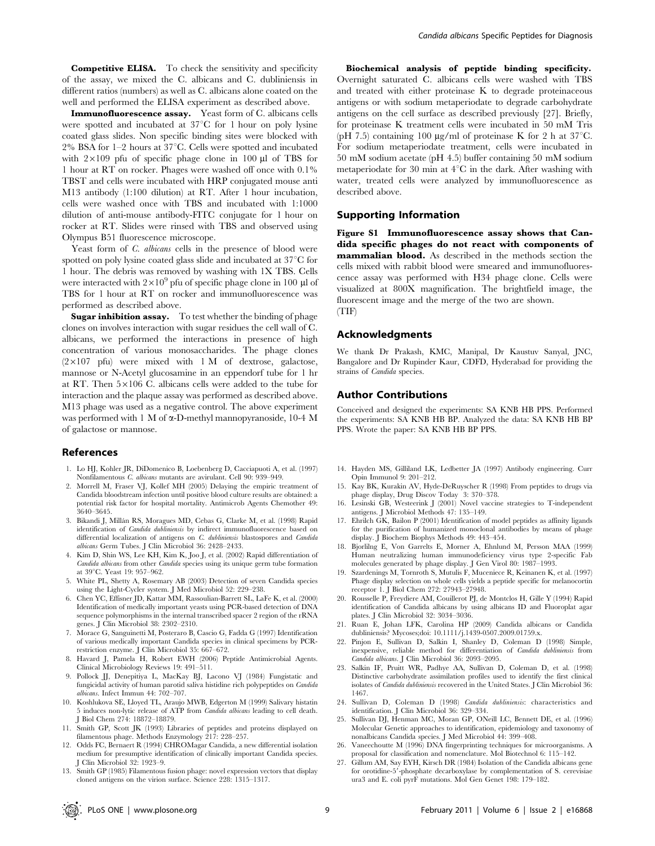Competitive ELISA. To check the sensitivity and specificity of the assay, we mixed the C. albicans and C. dubliniensis in different ratios (numbers) as well as C. albicans alone coated on the well and performed the ELISA experiment as described above.

Immunofluorescence assay. Yeast form of C. albicans cells were spotted and incubated at  $37^{\circ}$ C for 1 hour on poly lysine coated glass slides. Non specific binding sites were blocked with  $2\%$  BSA for 1–2 hours at 37 $\degree$ C. Cells were spotted and incubated with  $2\times109$  pfu of specific phage clone in 100  $\mu$ l of TBS for 1 hour at RT on rocker. Phages were washed off once with 0.1% TBST and cells were incubated with HRP conjugated mouse anti M13 antibody (1:100 dilution) at RT. After 1 hour incubation, cells were washed once with TBS and incubated with 1:1000 dilution of anti-mouse antibody-FITC conjugate for 1 hour on rocker at RT. Slides were rinsed with TBS and observed using Olympus B51 fluorescence microscope.

Yeast form of *C. albicans* cells in the presence of blood were spotted on poly lysine coated glass slide and incubated at  $37^{\circ}$ C for 1 hour. The debris was removed by washing with 1X TBS. Cells were interacted with  $2 \times 10^9$  pfu of specific phage clone in 100 µl of TBS for 1 hour at RT on rocker and immunofluorescence was performed as described above.

Sugar inhibition assay. To test whether the binding of phage clones on involves interaction with sugar residues the cell wall of C. albicans, we performed the interactions in presence of high concentration of various monosaccharides. The phage clones  $(2\times107 \text{ pft})$  were mixed with 1 M of dextrose, galactose, mannose or N-Acetyl glucosamine in an eppendorf tube for 1 hr at RT. Then  $5\times106$  C. albicans cells were added to the tube for interaction and the plaque assay was performed as described above. M13 phage was used as a negative control. The above experiment was performed with 1 M of  $\alpha$ -D-methyl mannopyranoside, 10-4 M of galactose or mannose.

#### References

- 1. Lo HJ, Kohler JR, DiDomenico B, Loebenberg D, Cacciapuoti A, et al. (1997) Nonfilamentous C. albicans mutants are avirulant. Cell 90: 939–949.
- 2. Morrell M, Fraser VJ, Kollef MH (2005) Delaying the empiric treatment of Candida bloodstream infection until positive blood culture results are obtained: a potential risk factor for hospital mortality. Antimicrob Agents Chemother 49: 3640–3645.
- 3. Bikandi J, Millán RS, Moragues MD, Cebas G, Clarke M, et al. (1998) Rapid identification of Candida dubliniensis by indirect immunofluorescence based on differential localization of antigens on C. dubliniensis blastospores and Candida albicans Germ Tubes. J Clin Microbiol 36: 2428–2433.
- 4. Kim D, Shin WS, Lee KH, Kim K, Joo J, et al. (2002) Rapid differentiation of Candida albicans from other Candida species using its unique germ tube formation at 39°C. Yeast 19: 957-962.
- 5. White PL, Shetty A, Rosemary AB (2003) Detection of seven Candida species using the Light-Cycler system. J Med Microbiol 52: 229–238.
- 6. Chen YC, Effisner JD, Kattar MM, Rassoulian-Barrett SL, LaFe K, et al. (2000) Identification of medically important yeasts using PCR-based detection of DNA sequence polymorphisms in the internal transcribed spacer 2 region of the rRNA genes. J Clin Microbiol 38: 2302–2310.
- 7. Morace G, Sanguinetti M, Posteraro B, Cascio G, Fadda G (1997) Identification of various medically important Candida species in clinical specimens by PCRrestriction enzyme. J Clin Microbiol 35: 667–672.
- 8. Havard J, Pamela H, Robert EWH (2006) Peptide Antimicrobial Agents. Clinical Microbiology Reviews 19: 491–511.
- 9. Pollock JJ, Denepitiya L, MacKay BJ, Lacono VJ (1984) Fungistatic and fungicidal activity of human parotid saliva histidine rich polypeptides on Candida albicans. Infect Immun 44: 702–707.
- 10. Koshlukova SE, Lloyed TL, Araujo MWB, Edgerton M (1999) Salivary histatin 5 induces non-lytic release of ATP from Candida albicans leading to cell death. J Biol Chem 274: 18872–18879.
- 11. Smith GP, Scott JK (1993) Libraries of peptides and proteins displayed on filamentous phage. Methods Enzymology 217: 228–257.
- medium for presumptive identification of clinically important Candida species. J Clin Microbiol 32: 1923–9.
- 
- 
- 12. Odds FC, Bernaert R (1994) CHROMagar Candida, a new differential isolation
- 
- 13. Smith GP (1985) Filamentous fusion phage: novel expression vectors that display cloned antigens on the virion surface. Science 228: 1315–1317.

Biochemical analysis of peptide binding specificity. Overnight saturated C. albicans cells were washed with TBS and treated with either proteinase K to degrade proteinaceous antigens or with sodium metaperiodate to degrade carbohydrate antigens on the cell surface as described previously [27]. Briefly, for proteinase K treatment cells were incubated in 50 mM Tris (pH 7.5) containing 100  $\mu$ g/ml of proteinase K for 2 h at 37<sup>o</sup>C. For sodium metaperiodate treatment, cells were incubated in 50 mM sodium acetate (pH 4.5) buffer containing 50 mM sodium metaperiodate for 30 min at  $4^{\circ}$ C in the dark. After washing with water, treated cells were analyzed by immunofluorescence as described above.

# Supporting Information

Figure S1 Immunofluorescence assay shows that Candida specific phages do not react with components of mammalian blood. As described in the methods section the cells mixed with rabbit blood were smeared and immunofluorescence assay was performed with H34 phage clone. Cells were visualized at 800X magnification. The brightfield image, the fluorescent image and the merge of the two are shown. (TIF)

#### Acknowledgments

We thank Dr Prakash, KMC, Manipal, Dr Kaustuv Sanyal, JNC, Bangalore and Dr Rupinder Kaur, CDFD, Hyderabad for providing the strains of Candida species.

#### Author Contributions

Conceived and designed the experiments: SA KNB HB PPS. Performed the experiments: SA KNB HB BP. Analyzed the data: SA KNB HB BP PPS. Wrote the paper: SA KNB HB BP PPS.

- 14. Hayden MS, Gilliland LK, Ledbetter JA (1997) Antibody engineering. Curr Opin Immunol 9: 201–212.
- 15. Kay BK, Kurakin AV, Hyde-DeRuyscher R (1998) From peptides to drugs via phage display, Drug Discov Today 3: 370–378.
- 16. Lesinski GB, Westeerink J (2001) Novel vaccine strategies to T-independent antigens. J Microbiol Methods 47: 135–149.
- 17. Ehrilch GK, Bailon P (2001) Identification of model peptides as affinity ligands for the purification of humanized monoclonal antibodies by means of phage display. J Biochem Biophys Methods 49: 443–454.
- 18. Bjorlilng E, Von Garrelts E, Morner A, Ehnlund M, Persson MAA (1999) Human neutralizing human immunodeficiency virus type 2-specific Fab molecules generated by phage display. J Gen Virol 80: 1987–1993.
- 19. Szardenings M, Tornroth S, Mutulis F, Muceniece R, Keinanen K, et al. (1997) Phage display selection on whole cells yields a peptide specific for melanocortin receptor 1. J Biol Chem 272: 27943–27948.
- 20. Rousselle P, Freydiere AM, Couillerot PJ, de Montclos H, Gille Y (1994) Rapid identification of Candida albicans by using albicans ID and Fluoroplat agar plates. J Clin Microbiol 32: 3034–3036.
- 21. Ruan E, Johan LFK, Carolina HP (2009) Candida albicans or Candida dubliniensis? Mycoses;doi: 10.1111/j.1439-0507.2009.01759.x.
- 22. Pinjon E, Sullivan D, Salkin I, Shanley D, Coleman D (1998) Simple, inexpensive, reliable method for differentiation of Candida dubliniensis from Candida albicans. J Clin Microbiol 36: 2093–2095.
- 23. Salkin IF, Pruitt WR, Padhye AA, Sullivan D, Coleman D, et al. (1998) Distinctive carbohydrate assimilation profiles used to identify the first clinical isolates of Candida dubliniensis recovered in the United States. J Clin Microbiol 36: 1467.
- 24. Sullivan D, Coleman D (1998) Candida dubliniensis: characteristics and identification. J Clin Microbiol 36: 329–334.
- 25. Sullivan DJ, Henman MC, Moran GP, ONeill LC, Bennett DE, et al. (1996) Molecular Genetic approaches to identification, epidemiology and taxonomy of nonalbicans Candida species. J Med Microbiol 44: 399–408.
- 26. Vaneechoutte M (1996) DNA fingerprinting techniques for microorganisms. A proposal for classification and nomenclature. Mol Biotechnol 6: 115–142.
- 27. Gillum AM, Say EYH, Kirsch DR (1984) Isolation of the Candida albicans gene for orotidine-5'-phosphate decarboxylase by complementation of S. cerevisiae ura3 and E. coli pyrF mutations. Mol Gen Genet 198: 179–182.